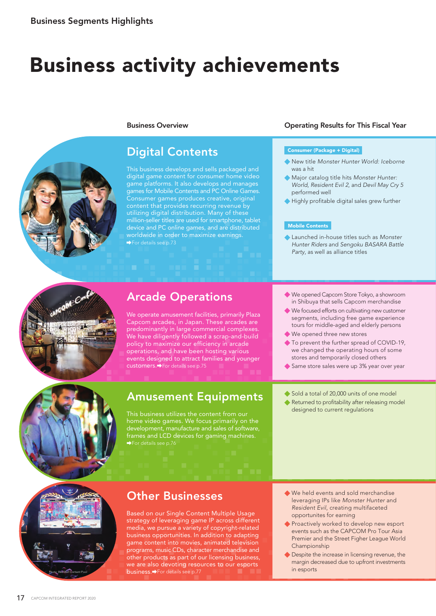# Business activity achievements



### Business Overview

### Digital Contents

This business develops and sells packaged and digital game content for consumer home video game platforms. It also develops and manages games for Mobile Contents and PC Online Games. Consumer games produces creative, original content that provides recurring revenue by utilizing digital distribution. Many of these million-seller titles are used for smartphone, tablet device and PC online games, and are distributed worldwide in order to maximize earnings. For details see p.73

### Operating Results for This Fiscal Year

### Consumer (Package + Digital)

- New title *Monster Hunter World: Iceborne* was a hit
- Major catalog title hits *Monster Hunter: World, Resident Evil 2*, and *Devil May Cry 5* performed well
- Highly profitable digital sales grew further

#### Mobile Contents

Launched in-house titles such as *Monster Hunter Riders* and *Sengoku BASARA Battle Party*, as well as alliance titles



# Arcade Operations

We operate amusement facilities, primarily Plaza Capcom arcades, in Japan. These arcades are predominantly in large commercial complexes. We have diligently followed a scrap-and-build policy to maximize our efficiency in arcade operations, and have been hosting various events designed to attract families and younger customers. For details see p.75

## Amusement Equipments

home video games. We focus primarily on the development, manufacture and sales of software, frames and LCD devices for gaming machines. For details see p.76

- We opened Capcom Store Tokyo, a showroom in Shibuya that sells Capcom merchandise
- We focused efforts on cultivating new customer segments, including free game experience tours for middle-aged and elderly persons
- We opened three new stores
- ◆ To prevent the further spread of COVID-19, we changed the operating hours of some stores and temporarily closed others
- Same store sales were up 3% year over year
- Sold a total of 20,000 units of one model
- Returned to profitability after releasing model designed to current regulations



### Other Businesses

Based on our Single Content Multiple Usage strategy of leveraging game IP across different media, we pursue a variety of copyright-related business opportunities. In addition to adapting game content into movies, animated television programs, music CDs, character merchandise and other products as part of our licensing business, we are also devoting resources to our esports business. PFor details see p.77

- We held events and sold merchandise leveraging IPs like *Monster Hunter* and *Resident Evil*, creating multifaceted opportunites for earning
- Proactively worked to develop new esport events such as the CAPCOM Pro Tour Asia Premier and the Street Figher League World Championship
- **C** Despite the increase in licensing revenue, the margin decreased due to upfront investments in esports